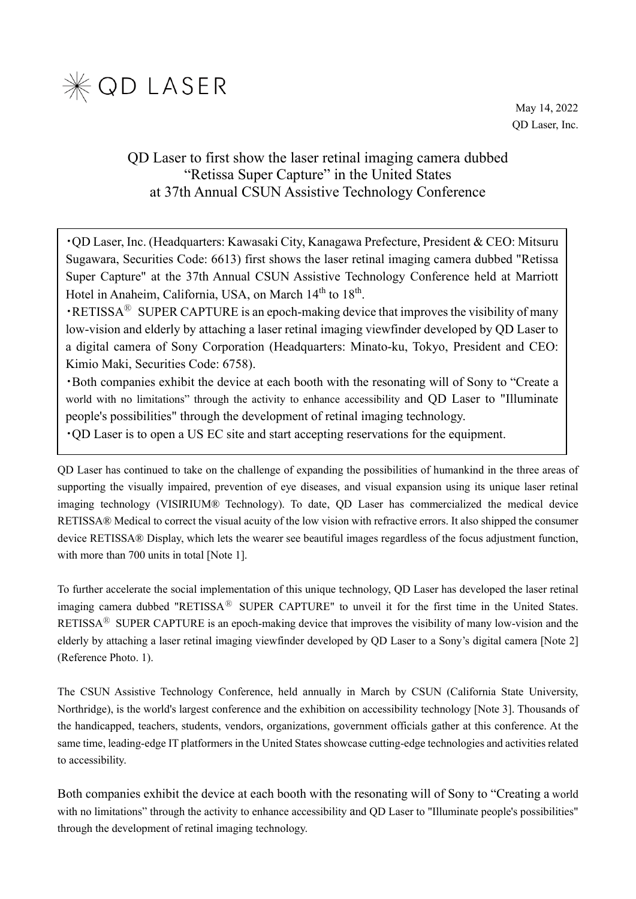

May 14, 2022 QD Laser, Inc.

# QD Laser to first show the laser retinal imaging camera dubbed "Retissa Super Capture" in the United States at 37th Annual CSUN Assistive Technology Conference

・QD Laser, Inc. (Headquarters: Kawasaki City, Kanagawa Prefecture, President & CEO: Mitsuru Sugawara, Securities Code: 6613) first shows the laser retinal imaging camera dubbed "Retissa Super Capture" at the 37th Annual CSUN Assistive Technology Conference held at Marriott Hotel in Anaheim, California, USA, on March 14<sup>th</sup> to 18<sup>th</sup>.

 $\cdot$ RETISSA<sup>®</sup> SUPER CAPTURE is an epoch-making device that improves the visibility of many low-vision and elderly by attaching a laser retinal imaging viewfinder developed by QD Laser to a digital camera of Sony Corporation (Headquarters: Minato-ku, Tokyo, President and CEO: Kimio Maki, Securities Code: 6758).

・Both companies exhibit the device at each booth with the resonating will of Sony to "Create a world with no limitations" through the activity to enhance accessibility and QD Laser to "Illuminate people's possibilities" through the development of retinal imaging technology.

・QD Laser is to open a US EC site and start accepting reservations for the equipment.

QD Laser has continued to take on the challenge of expanding the possibilities of humankind in the three areas of supporting the visually impaired, prevention of eye diseases, and visual expansion using its unique laser retinal imaging technology (VISIRIUM® Technology). To date, QD Laser has commercialized the medical device RETISSA® Medical to correct the visual acuity of the low vision with refractive errors. It also shipped the consumer device RETISSA® Display, which lets the wearer see beautiful images regardless of the focus adjustment function, with more than 700 units in total [Note 1].

To further accelerate the social implementation of this unique technology, QD Laser has developed the laser retinal imaging camera dubbed "RETISSA<sup>®</sup> SUPER CAPTURE" to unveil it for the first time in the United States. RETISSA<sup>®</sup> SUPER CAPTURE is an epoch-making device that improves the visibility of many low-vision and the elderly by attaching a laser retinal imaging viewfinder developed by QD Laser to a Sony's digital camera [Note 2] (Reference Photo. 1).

The CSUN Assistive Technology Conference, held annually in March by CSUN (California State University, Northridge), is the world's largest conference and the exhibition on accessibility technology [Note 3]. Thousands of the handicapped, teachers, students, vendors, organizations, government officials gather at this conference. At the same time, leading-edge IT platformers in the United States showcase cutting-edge technologies and activities related to accessibility.

Both companies exhibit the device at each booth with the resonating will of Sony to "Creating a world with no limitations" through the activity to enhance accessibility and QD Laser to "Illuminate people's possibilities" through the development of retinal imaging technology.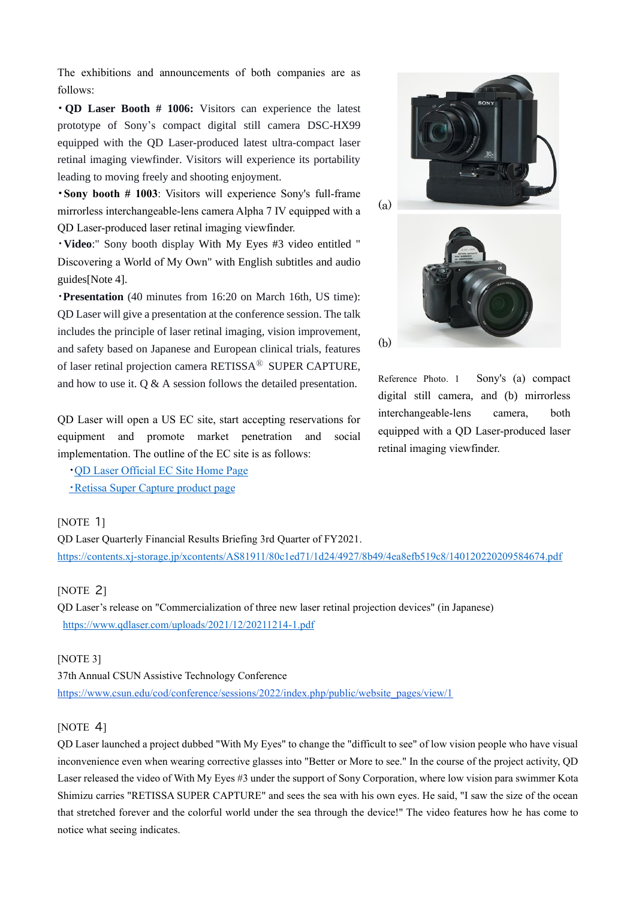The exhibitions and announcements of both companies are as follows:

**・ QD Laser Booth # 1006:** Visitors can experience the latest prototype of Sony's compact digital still camera DSC-HX99 equipped with the QD Laser-produced latest ultra-compact laser retinal imaging viewfinder. Visitors will experience its portability leading to moving freely and shooting enjoyment.

**・Sony booth # 1003**: Visitors will experience Sony's full-frame mirrorless interchangeable-lens camera Alpha 7 IV equipped with a QD Laser-produced laser retinal imaging viewfinder.

・**Video**:" Sony booth display With My Eyes #3 video entitled " Discovering a World of My Own" with English subtitles and audio guides[Note 4].

・**Presentation** (40 minutes from 16:20 on March 16th, US time): QD Laser will give a presentation at the conference session. The talk includes the principle of laser retinal imaging, vision improvement, and safety based on Japanese and European clinical trials, features of laser retinal projection camera RETISSA<sup>®</sup> SUPER CAPTURE, and how to use it. Q & A session follows the detailed presentation.

QD Laser will open a US EC site, start accepting reservations for equipment and promote market penetration and social implementation. The outline of the EC site is as follows:

・[QD Laser Official EC Site Home Page](https://shop.qdlaser.com/)

[・](https://shop.qdlaser.com/products/retissa-super-capture)[Retissa Super Capture product page](https://shop.qdlaser.com/products/retissa-super-capture)

## [NOTE 1]

QD Laser Quarterly Financial Results Briefing 3rd Quarter of FY2021. <https://contents.xj-storage.jp/xcontents/AS81911/80c1ed71/1d24/4927/8b49/4ea8efb519c8/140120220209584674.pdf>

## [NOTE 2]

QD Laser's release on "Commercialization of three new laser retinal projection devices" (in Japanese) <https://www.qdlaser.com/uploads/2021/12/20211214-1.pdf>

#### [NOTE 3]

37th Annual CSUN Assistive Technology Conference [https://www.csun.edu/cod/conference/sessions/2022/index.php/public/website\\_pages/view/1](https://www.csun.edu/cod/conference/sessions/2022/index.php/public/website_pages/view/1)

#### [NOTE 4]

QD Laser launched a project dubbed "With My Eyes" to change the "difficult to see" of low vision people who have visual inconvenience even when wearing corrective glasses into "Better or More to see." In the course of the project activity, QD Laser released the video of With My Eyes #3 under the support of Sony Corporation, where low vision para swimmer Kota Shimizu carries "RETISSA SUPER CAPTURE" and sees the sea with his own eyes. He said, "I saw the size of the ocean that stretched forever and the colorful world under the sea through the device!" The video features how he has come to notice what seeing indicates.



Reference Photo. 1 Sony's (a) compact digital still camera, and (b) mirrorless interchangeable-lens camera, both equipped with a QD Laser-produced laser retinal imaging viewfinder.